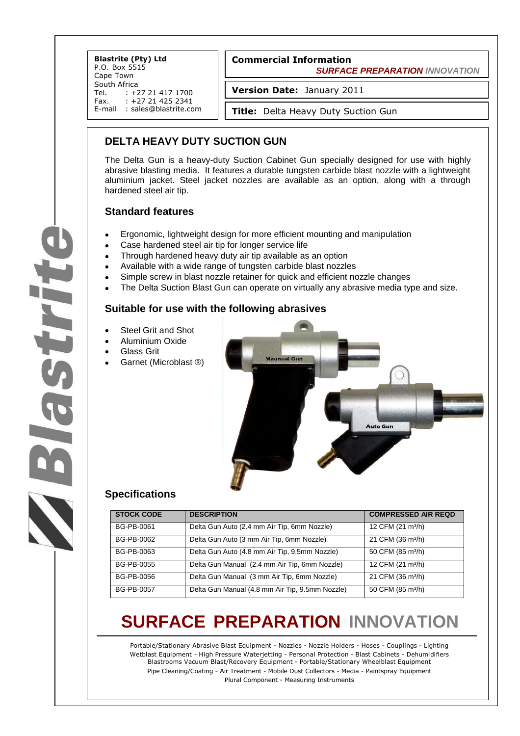**Blastrite (Pty) Ltd** P.O. Box 5515 Cape Town South Africa<br>Tel. : +2 Tel. : +27 21 417 1700<br>Fax. : +27 21 425 2341 +27 21 425 2341 E-mail : sales@blastrite.com

### **Commercial Information**

 *SURFACE PREPARATION INNOVATION*

**Version Date:** January 2011

**Title:** Delta Heavy Duty Suction Gun

### **DELTA HEAVY DUTY SUCTION GUN**

The Delta Gun is a heavy-duty Suction Cabinet Gun specially designed for use with highly abrasive blasting media. It features a durable tungsten carbide blast nozzle with a lightweight aluminium jacket. Steel jacket nozzles are available as an option, along with a through hardened steel air tip.

#### **Standard features**

- Ergonomic, lightweight design for more efficient mounting and manipulation
- Case hardened steel air tip for longer service life
- Through hardened heavy duty air tip available as an option
- Available with a wide range of tungsten carbide blast nozzles
- Simple screw in blast nozzle retainer for quick and efficient nozzle changes
- The Delta Suction Blast Gun can operate on virtually any abrasive media type and size.

#### **Suitable for use with the following abrasives**

- Steel Grit and Shot
- Aluminium Oxide
- Glass Grit
- Garnet (Microblast ®)



#### **Specifications**

| <b>STOCK CODE</b> | <b>DESCRIPTION</b>                                                         | <b>COMPRESSED AIR REQD</b>    |  |  |
|-------------------|----------------------------------------------------------------------------|-------------------------------|--|--|
| BG-PB-0061        | Delta Gun Auto (2.4 mm Air Tip, 6mm Nozzle)                                | 12 CFM (21 m <sup>3</sup> /h) |  |  |
| BG-PB-0062        | 21 CFM (36 m <sup>3</sup> /h)<br>Delta Gun Auto (3 mm Air Tip, 6mm Nozzle) |                               |  |  |
| BG-PB-0063        | Delta Gun Auto (4.8 mm Air Tip, 9.5mm Nozzle)                              | 50 CFM (85 m <sup>3</sup> /h) |  |  |
| BG-PB-0055        | Delta Gun Manual (2.4 mm Air Tip, 6mm Nozzle)                              | 12 CFM (21 m <sup>3</sup> /h) |  |  |
| BG-PB-0056        | Delta Gun Manual (3 mm Air Tip, 6mm Nozzle)                                | 21 CFM (36 m <sup>3</sup> /h) |  |  |
| BG-PB-0057        | Delta Gun Manual (4.8 mm Air Tip, 9.5mm Nozzle)                            | 50 CFM (85 m <sup>3</sup> /h) |  |  |

## **SURFACE PREPARATION INNOVATION**

Portable/Stationary Abrasive Blast Equipment - Nozzles - Nozzle Holders - Hoses - Couplings - Lighting Wetblast Equipment - High Pressure Waterjetting - Personal Protection - Blast Cabinets - Dehumidifiers Blastrooms Vacuum Blast/Recovery Equipment - Portable/Stationary Wheelblast Equipment Pipe Cleaning/Coating - Air Treatment - Mobile Dust Collectors - Media - Paintspray Equipment Plural Component - Measuring Instruments